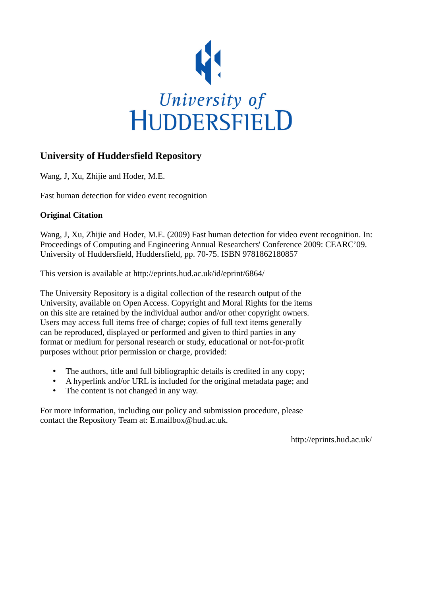

# **University of Huddersfield Repository**

Wang, J, Xu, Zhijie and Hoder, M.E.

Fast human detection for video event recognition

# **Original Citation**

Wang, J, Xu, Zhijie and Hoder, M.E. (2009) Fast human detection for video event recognition. In: Proceedings of Computing and Engineering Annual Researchers' Conference 2009: CEARC'09. University of Huddersfield, Huddersfield, pp. 70-75. ISBN 9781862180857

This version is available at http://eprints.hud.ac.uk/id/eprint/6864/

The University Repository is a digital collection of the research output of the University, available on Open Access. Copyright and Moral Rights for the items on this site are retained by the individual author and/or other copyright owners. Users may access full items free of charge; copies of full text items generally can be reproduced, displayed or performed and given to third parties in any format or medium for personal research or study, educational or not-for-profit purposes without prior permission or charge, provided:

- The authors, title and full bibliographic details is credited in any copy;
- A hyperlink and/or URL is included for the original metadata page; and
- The content is not changed in any way.

For more information, including our policy and submission procedure, please contact the Repository Team at: E.mailbox@hud.ac.uk.

http://eprints.hud.ac.uk/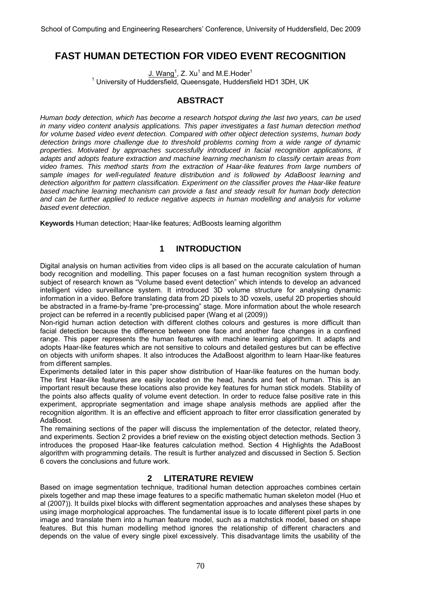# **FAST HUMAN DETECTION FOR VIDEO EVENT RECOGNITION**

 $J.$  Wang<sup>1</sup>, Z. Xu<sup>1</sup> and M.E. Hoder<sup>1</sup> <sup>1</sup> University of Huddersfield, Queensgate, Huddersfield HD1 3DH, UK

# **ABSTRACT**

*Human body detection, which has become a research hotspot during the last two years, can be used in many video content analysis applications. This paper investigates a fast human detection method for volume based video event detection. Compared with other object detection systems, human body detection brings more challenge due to threshold problems coming from a wide range of dynamic properties. Motivated by approaches successfully introduced in facial recognition applications, it adapts and adopts feature extraction and machine learning mechanism to classify certain areas from video frames. This method starts from the extraction of Haar-like features from large numbers of sample images for well-regulated feature distribution and is followed by AdaBoost learning and detection algorithm for pattern classification. Experiment on the classifier proves the Haar-like feature based machine learning mechanism can provide a fast and steady result for human body detection and can be further applied to reduce negative aspects in human modelling and analysis for volume based event detection.* 

**Keywords** Human detection; Haar-like features; AdBoosts learning algorithm

# **1 INTRODUCTION**

Digital analysis on human activities from video clips is all based on the accurate calculation of human body recognition and modelling. This paper focuses on a fast human recognition system through a subject of research known as "Volume based event detection" which intends to develop an advanced intelligent video surveillance system. It introduced 3D volume structure for analysing dynamic information in a video. Before translating data from 2D pixels to 3D voxels, useful 2D properties should be abstracted in a frame-by-frame "pre-processing" stage. More information about the whole research project can be referred in a recently publicised paper (Wang et al (2009))

Non-rigid human action detection with different clothes colours and gestures is more difficult than facial detection because the difference between one face and another face changes in a confined range. This paper represents the human features with machine learning algorithm. It adapts and adopts Haar-like features which are not sensitive to colours and detailed gestures but can be effective on objects with uniform shapes. It also introduces the AdaBoost algorithm to learn Haar-like features from different samples.

Experiments detailed later in this paper show distribution of Haar-like features on the human body. The first Haar-like features are easily located on the head, hands and feet of human. This is an important result because these locations also provide key features for human stick models. Stability of the points also affects quality of volume event detection. In order to reduce false positive rate in this experiment, appropriate segmentation and image shape analysis methods are applied after the recognition algorithm. It is an effective and efficient approach to filter error classification generated by AdaBoost.

The remaining sections of the paper will discuss the implementation of the detector, related theory, and experiments. Section 2 provides a brief review on the existing object detection methods. Section 3 introduces the proposed Haar-like features calculation method. Section 4 Highlights the AdaBoost algorithm with programming details. The result is further analyzed and discussed in Section 5. Section 6 covers the conclusions and future work.

## **2 LITERATURE REVIEW**

Based on image segmentation technique, traditional human detection approaches combines certain pixels together and map these image features to a specific mathematic human skeleton model (Huo et al (2007)). It builds pixel blocks with different segmentation approaches and analyses these shapes by using image morphological approaches. The fundamental issue is to locate different pixel parts in one image and translate them into a human feature model, such as a matchstick model, based on shape features. But this human modelling method ignores the relationship of different characters and depends on the value of every single pixel excessively. This disadvantage limits the usability of the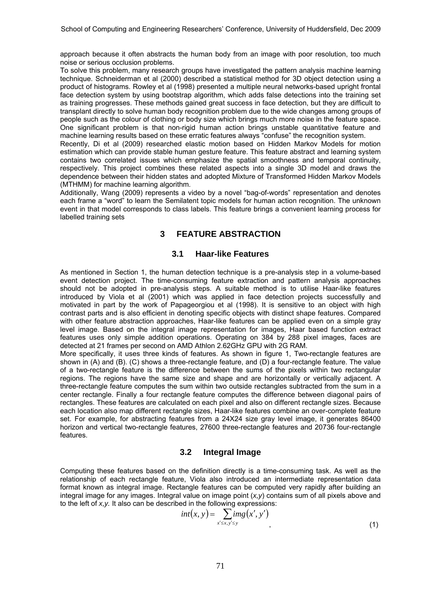approach because it often abstracts the human body from an image with poor resolution, too much noise or serious occlusion problems.

To solve this problem, many research groups have investigated the pattern analysis machine learning technique. Schneiderman et al (2000) described a statistical method for 3D object detection using a product of histograms. Rowley et al (1998) presented a multiple neural networks-based upright frontal face detection system by using bootstrap algorithm, which adds false detections into the training set as training progresses. These methods gained great success in face detection, but they are difficult to transplant directly to solve human body recognition problem due to the wide changes among groups of people such as the colour of clothing or body size which brings much more noise in the feature space. One significant problem is that non-rigid human action brings unstable quantitative feature and machine learning results based on these erratic features always "confuse" the recognition system.

Recently, Di et al (2009) researched elastic motion based on Hidden Markov Models for motion estimation which can provide stable human gesture feature. This feature abstract and learning system contains two correlated issues which emphasize the spatial smoothness and temporal continuity, respectively. This project combines these related aspects into a single 3D model and draws the dependence between their hidden states and adopted Mixture of Transformed Hidden Markov Models (MTHMM) for machine learning algorithm.

Additionally, Wang (2009) represents a video by a novel "bag-of-words" representation and denotes each frame a "word" to learn the Semilatent topic models for human action recognition. The unknown event in that model corresponds to class labels. This feature brings a convenient learning process for labelled training sets

## **3 FEATURE ABSTRACTION**

#### **3.1 Haar-like Features**

As mentioned in Section 1, the human detection technique is a pre-analysis step in a volume-based event detection project. The time-consuming feature extraction and pattern analysis approaches should not be adopted in pre-analysis steps. A suitable method is to utilise Haar-like features introduced by Viola et al (2001) which was applied in face detection projects successfully and motivated in part by the work of Papageorgiou et al (1998). It is sensitive to an object with high contrast parts and is also efficient in denoting specific objects with distinct shape features. Compared with other feature abstraction approaches, Haar-like features can be applied even on a simple gray level image. Based on the integral image representation for images, Haar based function extract features uses only simple addition operations. Operating on 384 by 288 pixel images, faces are detected at 21 frames per second on AMD Athlon 2.62GHz GPU with 2G RAM.

More specifically, it uses three kinds of features. As shown in figure 1, Two-rectangle features are shown in (A) and (B). (C) shows a three-rectangle feature, and (D) a four-rectangle feature. The value of a two-rectangle feature is the difference between the sums of the pixels within two rectangular regions. The regions have the same size and shape and are horizontally or vertically adjacent. A three-rectangle feature computes the sum within two outside rectangles subtracted from the sum in a center rectangle. Finally a four rectangle feature computes the difference between diagonal pairs of rectangles. These features are calculated on each pixel and also on different rectangle sizes. Because each location also map different rectangle sizes, Haar-like features combine an over-complete feature set. For example, for abstracting features from a 24X24 size gray level image, it generates 86400 horizon and vertical two-rectangle features, 27600 three-rectangle features and 20736 four-rectangle features.

## **3.2 Integral Image**

Computing these features based on the definition directly is a time-consuming task. As well as the relationship of each rectangle feature, Viola also introduced an intermediate representation data format known as integral image. Rectangle features can be computed very rapidly after building an integral image for any images. Integral value on image point (*x,y*) contains sum of all pixels above and to the left of *x,y.* It also can be described in the following expressions:

$$
int(x, y) = \sum_{x' \le x, y' \le y} img(x', y')
$$
\n(1)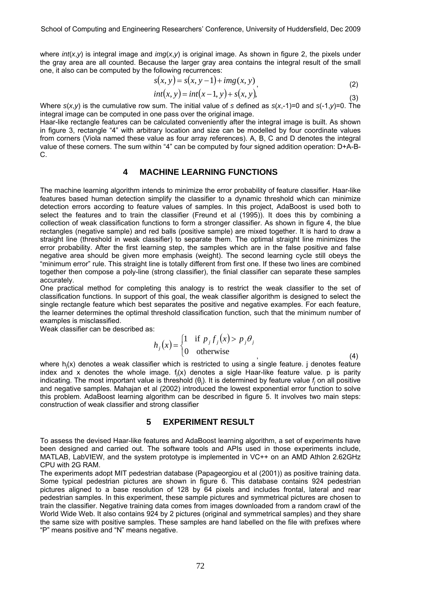where *int*(*x*,*y*) is integral image and *img*(*x*,*y*) is original image. As shown in figure 2, the pixels under the gray area are all counted. Because the larger gray area contains the integral result of the small one, it also can be computed by the following recurrences:

$$
s(x, y) = s(x, y - 1) + img(x, y)
$$
\n(2)

$$
int(x, y) = int(x - 1, y) + s(x, y),
$$
\n(3)

Where *s*(*x*,*y*) is the cumulative row sum. The initial value of *s* defined as *s*(*x*,-1)=0 and *s*(-1,*y*)=0. The integral image can be computed in one pass over the original image.

Haar-like rectangle features can be calculated conveniently after the integral image is built. As shown in figure 3, rectangle "4" with arbitrary location and size can be modelled by four coordinate values from corners (Viola named these value as four array references). A, B, C and D denotes the integral value of these corners. The sum within "4" can be computed by four signed addition operation: D+A-B-C.

## **4 MACHINE LEARNING FUNCTIONS**

The machine learning algorithm intends to minimize the error probability of feature classifier. Haar-like features based human detection simplify the classifier to a dynamic threshold which can minimize detection errors according to feature values of samples. In this project, AdaBoost is used both to select the features and to train the classifier (Freund et al (1995)). It does this by combining a collection of weak classification functions to form a stronger classifier. As shown in figure 4, the blue rectangles (negative sample) and red balls (positive sample) are mixed together. It is hard to draw a straight line (threshold in weak classifier) to separate them. The optimal straight line minimizes the error probability. After the first learning step, the samples which are in the false positive and false negative area should be given more emphasis (weight). The second learning cycle still obeys the "minimum error" rule. This straight line is totally different from first one. If these two lines are combined together then compose a poly-line (strong classifier), the finial classifier can separate these samples accurately.

One practical method for completing this analogy is to restrict the weak classifier to the set of classification functions. In support of this goal, the weak classifier algorithm is designed to select the single rectangle feature which best separates the positive and negative examples. For each feature, the learner determines the optimal threshold classification function, such that the minimum number of examples is misclassified.

Weak classifier can be described as:

$$
h_j(x) = \begin{cases} 1 & \text{if } p_j f_j(x) > p_j \theta_j \\ 0 & \text{otherwise} \end{cases}
$$
 (4)

where h<sub>j</sub>(x) denotes a weak classifier which is restricted to using a single feature. j denotes feature index and x denotes the whole image. f<sub>j</sub>(x) denotes a sigle Haar-like feature value. p is parity indicating. The most important value is threshold (θ<sup>j</sup> ). It is determined by feature value *fj* on all positive and negative samples. Mahajan et al (2002) introduced the lowest exponential error function to solve this problem. AdaBoost learning algorithm can be described in figure 5. It involves two main steps: construction of weak classifier and strong classifier

## **5 EXPERIMENT RESULT**

To assess the devised Haar-like features and AdaBoost learning algorithm, a set of experiments have been designed and carried out. The software tools and APIs used in those experiments include, MATLAB, LabVIEW, and the system prototype is implemented in VC++ on an AMD Athlon 2.62GHz CPU with 2G RAM.

The experiments adopt MIT pedestrian database (Papageorgiou et al (2001)) as positive training data. Some typical pedestrian pictures are shown in figure 6. This database contains 924 pedestrian pictures aligned to a base resolution of 128 by 64 pixels and includes frontal, lateral and rear pedestrian samples. In this experiment, these sample pictures and symmetrical pictures are chosen to train the classifier. Negative training data comes from images downloaded from a random crawl of the World Wide Web. It also contains 924 by 2 pictures (original and symmetrical samples) and they share the same size with positive samples. These samples are hand labelled on the file with prefixes where "P" means positive and "N" means negative.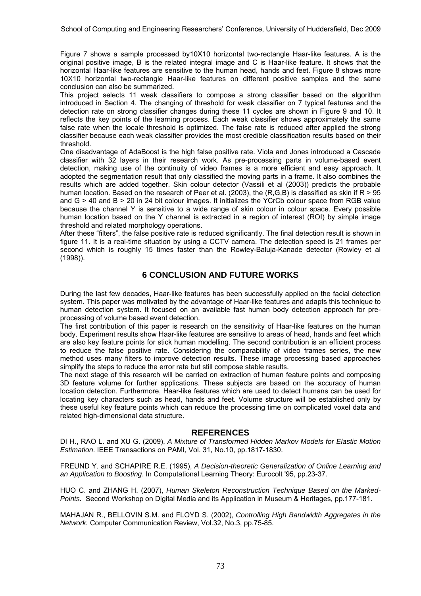Figure 7 shows a sample processed by10X10 horizontal two-rectangle Haar-like features. A is the original positive image, B is the related integral image and C is Haar-like feature. It shows that the horizontal Haar-like features are sensitive to the human head, hands and feet. Figure 8 shows more 10X10 horizontal two-rectangle Haar-like features on different positive samples and the same conclusion can also be summarized.

This project selects 11 weak classifiers to compose a strong classifier based on the algorithm introduced in Section 4. The changing of threshold for weak classifier on 7 typical features and the detection rate on strong classifier changes during these 11 cycles are shown in Figure 9 and 10. It reflects the key points of the learning process. Each weak classifier shows approximately the same false rate when the locale threshold is optimized. The false rate is reduced after applied the strong classifier because each weak classifier provides the most credible classification results based on their threshold.

One disadvantage of AdaBoost is the high false positive rate. Viola and Jones introduced a Cascade classifier with 32 layers in their research work. As pre-processing parts in volume-based event detection, making use of the continuity of video frames is a more efficient and easy approach. It adopted the segmentation result that only classified the moving parts in a frame. It also combines the results which are added together. Skin colour detector (Vassili et al (2003)) predicts the probable human location. Based on the research of Peer et al. (2003), the (R,G,B) is classified as skin if  $R > 95$ and G > 40 and B > 20 in 24 bit colour images. It initializes the YCrCb colour space from RGB value because the channel Y is sensitive to a wide range of skin colour in colour space. Every possible human location based on the Y channel is extracted in a region of interest (ROI) by simple image threshold and related morphology operations.

After these "filters", the false positive rate is reduced significantly. The final detection result is shown in figure 11. It is a real-time situation by using a CCTV camera. The detection speed is 21 frames per second which is roughly 15 times faster than the Rowley-Baluja-Kanade detector (Rowley et al (1998)).

## **6 CONCLUSION AND FUTURE WORKS**

During the last few decades, Haar-like features has been successfully applied on the facial detection system. This paper was motivated by the advantage of Haar-like features and adapts this technique to human detection system. It focused on an available fast human body detection approach for preprocessing of volume based event detection.

The first contribution of this paper is research on the sensitivity of Haar-like features on the human body. Experiment results show Haar-like features are sensitive to areas of head, hands and feet which are also key feature points for stick human modelling. The second contribution is an efficient process to reduce the false positive rate. Considering the comparability of video frames series, the new method uses many filters to improve detection results. These image processing based approaches simplify the steps to reduce the error rate but still compose stable results.

The next stage of this research will be carried on extraction of human feature points and composing 3D feature volume for further applications. These subjects are based on the accuracy of human location detection. Furthermore, Haar-like features which are used to detect humans can be used for locating key characters such as head, hands and feet. Volume structure will be established only by these useful key feature points which can reduce the processing time on complicated voxel data and related high-dimensional data structure.

#### **REFERENCES**

DI H., RAO L. and XU G. (2009), *A Mixture of Transformed Hidden Markov Models for Elastic Motion Estimation*. IEEE Transactions on PAMI, Vol. 31, No.10, pp.1817-1830.

FREUND Y. and SCHAPIRE R.E. (1995), *A Decision-theoretic Generalization of Online Learning and an Application to Boosting*. In Computational Learning Theory: Eurocolt '95, pp.23-37.

HUO C. and ZHANG H. (2007), *Human Skeleton Reconstruction Technique Based on the Marked-Points.* Second Workshop on Digital Media and its Application in Museum & Heritages, pp.177-181.

MAHAJAN R., BELLOVIN S.M. and FLOYD S. (2002), *Controlling High Bandwidth Aggregates in the Network.* Computer Communication Review, Vol.32, No.3, pp.75-85.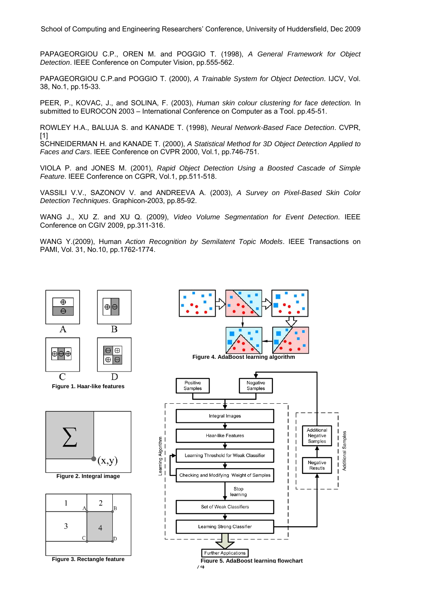School of Computing and Engineering Researchers' Conference, University of Huddersfield, Dec 2009

PAPAGEORGIOU C.P., OREN M. and POGGIO T. (1998), *A General Framework for Object Detection*. IEEE Conference on Computer Vision, pp.555-562.

PAPAGEORGIOU C.P.and POGGIO T. (2000), *A Trainable System for Object Detection*. IJCV, Vol. 38, No.1, pp.15-33.

PEER, P., KOVAC, J., and SOLINA, F. (2003), *Human skin colour clustering for face detection.* In submitted to EUROCON 2003 – International Conference on Computer as a Tool. pp.45-51.

ROWLEY H.A., BALUJA S. and KANADE T. (1998), *Neural Network-Based Face Detection*. CVPR, [1]

SCHNEIDERMAN H. and KANADE T. (2000), *A Statistical Method for 3D Object Detection Applied to Faces and Cars*. IEEE Conference on CVPR 2000, Vol.1, pp.746-751.

VIOLA P. and JONES M. (2001), *Rapid Object Detection Using a Boosted Cascade of Simple Feature*. IEEE Conference on CGPR, Vol.1, pp.511-518.

VASSILI V.V., SAZONOV V. and ANDREEVA A. (2003), *A Survey on Pixel-Based Skin Color Detection Techniques*. Graphicon-2003, pp.85-92.

WANG J., XU Z. and XU Q. (2009), *Video Volume Segmentation for Event Detection*. IEEE Conference on CGIV 2009, pp.311-316.

WANG Y.(2009), Human *Action Recognition by Semilatent Topic Models*. IEEE Transactions on PAMI, Vol. 31, No.10, pp.1762-1774.